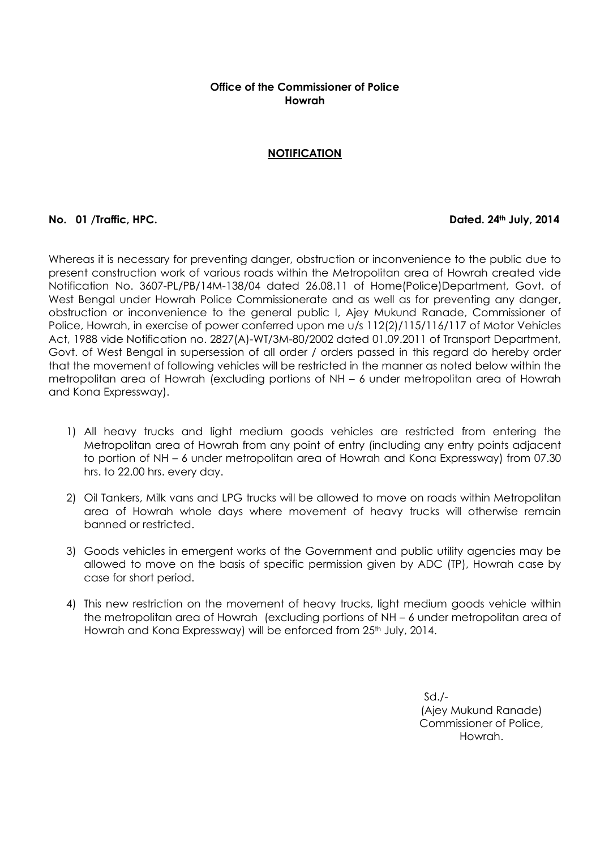## **Office of the Commissioner of Police Howrah**

# **NOTIFICATION**

### **No. 01 /Traffic, HPC. Dated. 24th July, 2014**

Whereas it is necessary for preventing danger, obstruction or inconvenience to the public due to present construction work of various roads within the Metropolitan area of Howrah created vide Notification No. 3607-PL/PB/14M-138/04 dated 26.08.11 of Home(Police)Department, Govt. of West Bengal under Howrah Police Commissionerate and as well as for preventing any danger, obstruction or inconvenience to the general public I, Ajey Mukund Ranade, Commissioner of Police, Howrah, in exercise of power conferred upon me u/s 112(2)/115/116/117 of Motor Vehicles Act, 1988 vide Notification no. 2827(A)-WT/3M-80/2002 dated 01.09.2011 of Transport Department, Govt. of West Bengal in supersession of all order / orders passed in this regard do hereby order that the movement of following vehicles will be restricted in the manner as noted below within the metropolitan area of Howrah (excluding portions of NH – 6 under metropolitan area of Howrah and Kona Expressway).

- 1) All heavy trucks and light medium goods vehicles are restricted from entering the Metropolitan area of Howrah from any point of entry (including any entry points adjacent to portion of NH – 6 under metropolitan area of Howrah and Kona Expressway) from 07.30 hrs. to 22.00 hrs. every day.
- 2) Oil Tankers, Milk vans and LPG trucks will be allowed to move on roads within Metropolitan area of Howrah whole days where movement of heavy trucks will otherwise remain banned or restricted.
- 3) Goods vehicles in emergent works of the Government and public utility agencies may be allowed to move on the basis of specific permission given by ADC (TP), Howrah case by case for short period.
- 4) This new restriction on the movement of heavy trucks, light medium goods vehicle within the metropolitan area of Howrah (excluding portions of NH – 6 under metropolitan area of Howrah and Kona Expressway) will be enforced from 25 th July, 2014.

Sd./- (Ajey Mukund Ranade) Commissioner of Police, Howrah.